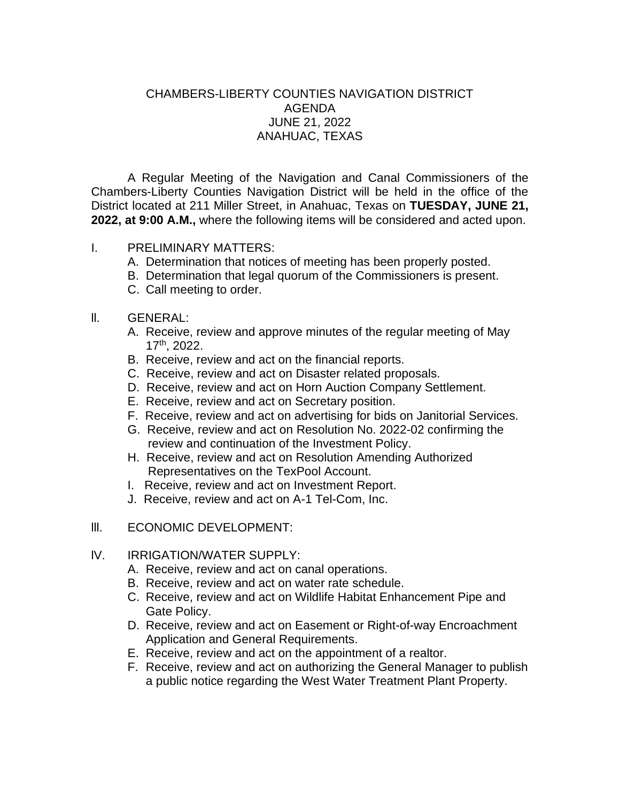## CHAMBERS-LIBERTY COUNTIES NAVIGATION DISTRICT AGENDA JUNE 21, 2022 ANAHUAC, TEXAS

A Regular Meeting of the Navigation and Canal Commissioners of the Chambers-Liberty Counties Navigation District will be held in the office of the District located at 211 Miller Street, in Anahuac, Texas on **TUESDAY, JUNE 21, 2022, at 9:00 A.M.,** where the following items will be considered and acted upon.

## I. PRELIMINARY MATTERS:

- A. Determination that notices of meeting has been properly posted.
- B. Determination that legal quorum of the Commissioners is present.
- C. Call meeting to order.
- ll. GENERAL:
	- A. Receive, review and approve minutes of the regular meeting of May 17th, 2022.
	- B. Receive, review and act on the financial reports.
	- C. Receive, review and act on Disaster related proposals.
	- D. Receive, review and act on Horn Auction Company Settlement.
	- E. Receive, review and act on Secretary position.
	- F. Receive, review and act on advertising for bids on Janitorial Services.
	- G. Receive, review and act on Resolution No. 2022-02 confirming the review and continuation of the Investment Policy.
	- H. Receive, review and act on Resolution Amending Authorized Representatives on the TexPool Account.
	- I. Receive, review and act on Investment Report.
	- J. Receive, review and act on A-1 Tel-Com, Inc.

## lll. ECONOMIC DEVELOPMENT:

## lV. IRRIGATION/WATER SUPPLY:

- A. Receive, review and act on canal operations.
- B. Receive, review and act on water rate schedule.
- C. Receive, review and act on Wildlife Habitat Enhancement Pipe and Gate Policy.
- D. Receive, review and act on Easement or Right-of-way Encroachment Application and General Requirements.
- E. Receive, review and act on the appointment of a realtor.
- F. Receive, review and act on authorizing the General Manager to publish a public notice regarding the West Water Treatment Plant Property.